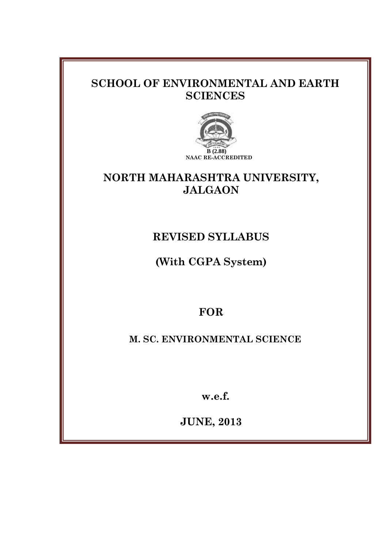# **SCHOOL OF ENVIRONMENTAL AND EARTH SCIENCES**



# **NORTH MAHARASHTRA UNIVERSITY, JALGAON**

# **REVISED SYLLABUS**

**(With CGPA System)**

# **FOR**

**M. SC. ENVIRONMENTAL SCIENCE**

**w.e.f.**

**JUNE, 2013**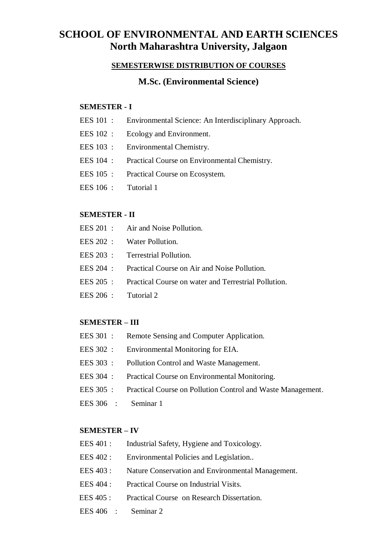# **SCHOOL OF ENVIRONMENTAL AND EARTH SCIENCES North Maharashtra University, Jalgaon**

## **SEMESTERWISE DISTRIBUTION OF COURSES**

## **M.Sc. (Environmental Science)**

## **SEMESTER - I**

| EES 101 :<br>Environmental Science: An Interdisciplinary Approach. |  |
|--------------------------------------------------------------------|--|
|--------------------------------------------------------------------|--|

- EES 102 : Ecology and Environment.
- EES 103 : Environmental Chemistry.
- EES 104 : Practical Course on Environmental Chemistry.
- EES 105 : Practical Course on Ecosystem.
- EES 106 : Tutorial 1

#### **SEMESTER - II**

- EES 201 : Air and Noise Pollution.
- EES 202 : Water Pollution.
- EES 203 : Terrestrial Pollution.
- EES 204 : Practical Course on Air and Noise Pollution.
- EES 205 : Practical Course on water and Terrestrial Pollution.
- EES 206 : Tutorial 2

#### **SEMESTER – III**

- EES 301 : Remote Sensing and Computer Application.
- EES 302 : Environmental Monitoring for EIA.
- EES 303 : Pollution Control and Waste Management.
- EES 304 : Practical Course on Environmental Monitoring.
- EES 305 : Practical Course on Pollution Control and Waste Management.
- EES 306 : Seminar 1

#### **SEMESTER – IV**

- EES 401 : Industrial Safety, Hygiene and Toxicology.
- EES 402 : Environmental Policies and Legislation..
- EES 403 : Nature Conservation and Environmental Management.
- EES 404 : Practical Course on Industrial Visits.
- EES 405 : Practical Course on Research Dissertation.
- EES 406 : Seminar 2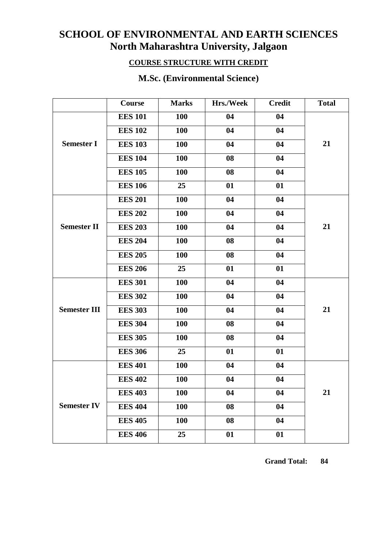# **SCHOOL OF ENVIRONMENTAL AND EARTH SCIENCES North Maharashtra University, Jalgaon**

## **COURSE STRUCTURE WITH CREDIT**

|                     | Course         | <b>Marks</b> | Hrs./Week | <b>Credit</b> | <b>Total</b> |
|---------------------|----------------|--------------|-----------|---------------|--------------|
|                     | <b>EES 101</b> | <b>100</b>   | 04        | 04            |              |
|                     | <b>EES 102</b> | <b>100</b>   | 04        | 04            |              |
| <b>Semester I</b>   | <b>EES 103</b> | <b>100</b>   | 04        | 04            | 21           |
|                     | <b>EES 104</b> | <b>100</b>   | 08        | 04            |              |
|                     | <b>EES 105</b> | 100          | 08        | 04            |              |
|                     | <b>EES 106</b> | 25           | 01        | 01            |              |
|                     | <b>EES 201</b> | 100          | 04        | 04            |              |
|                     | <b>EES 202</b> | 100          | 04        | 04            |              |
| <b>Semester II</b>  | <b>EES 203</b> | 100          | 04        | 04            | 21           |
|                     | <b>EES 204</b> | 100          | 08        | 04            |              |
|                     | <b>EES 205</b> | <b>100</b>   | 08        | 04            |              |
|                     | <b>EES 206</b> | 25           | 01        | 01            |              |
|                     | <b>EES 301</b> | <b>100</b>   | 04        | 04            |              |
|                     | <b>EES 302</b> | <b>100</b>   | 04        | 04            |              |
| <b>Semester III</b> | <b>EES 303</b> | <b>100</b>   | 04        | 04            | 21           |
|                     | <b>EES 304</b> | 100          | 08        | 04            |              |
|                     | <b>EES 305</b> | <b>100</b>   | 08        | 04            |              |
|                     | <b>EES 306</b> | 25           | 01        | 01            |              |
|                     | <b>EES 401</b> | 100          | 04        | 04            |              |
|                     | <b>EES 402</b> | 100          | 04        | 04            |              |
|                     | <b>EES 403</b> | <b>100</b>   | 04        | 04            | 21           |
| <b>Semester IV</b>  | <b>EES 404</b> | 100          | 08        | 04            |              |
|                     | <b>EES 405</b> | <b>100</b>   | 08        | 04            |              |
|                     | <b>EES 406</b> | 25           | 01        | 01            |              |

# **M.Sc. (Environmental Science)**

 **Grand Total: 84**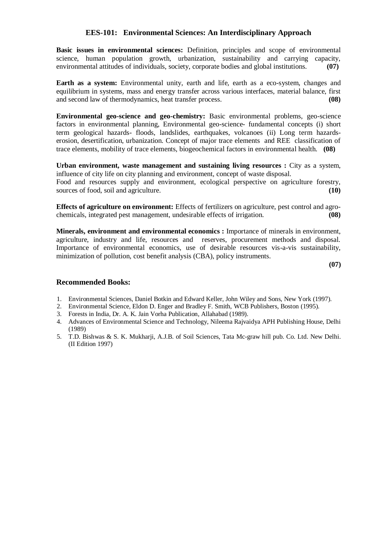#### **EES-101: Environmental Sciences: An Interdisciplinary Approach**

**Basic issues in environmental sciences:** Definition, principles and scope of environmental science, human population growth, urbanization, sustainability and carrying capacity, environmental attitudes of individuals, society, corporate bodies and global institutions. **(07)**

**Earth as a system:** Environmental unity, earth and life, earth as a eco-system, changes and equilibrium in systems, mass and energy transfer across various interfaces, material balance, first and second law of thermodynamics, heat transfer process. **(08)**

**Environmental geo-science and geo-chemistry:** Basic environmental problems, geo-science factors in environmental planning, Environmental geo-science- fundamental concepts (i) short term geological hazards- floods, landslides, earthquakes, volcanoes (ii) Long term hazardserosion, desertification, urbanization. Concept of major trace elements and REE classification of trace elements, mobility of trace elements, biogeochemical factors in environmental health. **(08)**

**Urban environment, waste management and sustaining living resources :** City as a system, influence of city life on city planning and environment, concept of waste disposal.

Food and resources supply and environment, ecological perspective on agriculture forestry, sources of food, soil and agriculture. **(10)** sources of food, soil and agriculture.

**Effects of agriculture on environment:** Effects of fertilizers on agriculture, pest control and agrochemicals, integrated pest management, undesirable effects of irrigation. **(08)**

**Minerals, environment and environmental economics :** Importance of minerals in environment, agriculture, industry and life, resources and reserves, procurement methods and disposal. Importance of environmental economics, use of desirable resources vis-a-vis sustainability, minimization of pollution, cost benefit analysis (CBA), policy instruments.

**(07)**

- 1. Environmental Sciences, Daniel Botkin and Edward Keller, John Wiley and Sons, New York (1997).
- 2. Environmental Science, Eldon D. Enger and Bradley F. Smith, WCB Publishers, Boston (1995).
- 3. Forests in India, Dr. A. K. Jain Vorha Publication, Allahabad (1989).
- 4. Advances of Environmental Science and Technology, Nileema Rajvaidya APH Publishing House, Delhi (1989)
- 5. T.D. Bishwas & S. K. Mukharji, A.J.B. of Soil Sciences, Tata Mc-graw hill pub. Co. Ltd. New Delhi. (II Edition 1997)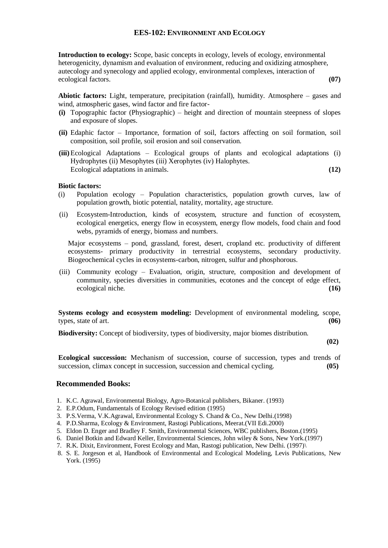#### **EES-102: ENVIRONMENT AND ECOLOGY**

**Introduction to ecology:** Scope, basic concepts in ecology, levels of ecology, environmental heterogenicity, dynamism and evaluation of environment, reducing and oxidizing atmosphere, autecology and synecology and applied ecology, environmental complexes, interaction of ecological factors. **(07)**

**Abiotic factors:** Light, temperature, precipitation (rainfall), humidity. Atmosphere – gases and wind, atmospheric gases, wind factor and fire factor-

- **(i)** Topographic factor (Physiographic) height and direction of mountain steepness of slopes and exposure of slopes.
- **(ii)** Edaphic factor Importance, formation of soil, factors affecting on soil formation, soil composition, soil profile, soil erosion and soil conservation.
- **(iii)**Ecological Adaptations Ecological groups of plants and ecological adaptations (i) Hydrophytes (ii) Mesophytes (iii) Xerophytes (iv) Halophytes. Ecological adaptations in animals. **(12)**

#### **Biotic factors:**

- (i) Population ecology Population characteristics, population growth curves, law of population growth, biotic potential, natality, mortality, age structure.
- (ii) Ecosystem-Introduction, kinds of ecosystem, structure and function of ecosystem, ecological energetics, energy flow in ecosystem, energy flow models, food chain and food webs, pyramids of energy, biomass and numbers.

Major ecosystems – pond, grassland, forest, desert, cropland etc. productivity of different ecosystems- primary productivity in terrestrial ecosystems, secondary productivity. Biogeochemical cycles in ecosystems-carbon, nitrogen, sulfur and phosphorous.

(iii) Community ecology – Evaluation, origin, structure, composition and development of community, species diversities in communities, ecotones and the concept of edge effect, ecological niche. **(16)**

**Systems ecology and ecosystem modeling:** Development of environmental modeling, scope, types, state of art. **(06)**

**Biodiversity:** Concept of biodiversity, types of biodiversity, major biomes distribution.

**(02)**

**Ecological succession:** Mechanism of succession, course of succession, types and trends of succession, climax concept in succession, succession and chemical cycling. **(05)** 

- 1. K.C. Agrawal, Environmental Biology, Agro-Botanical publishers, Bikaner. (1993)
- 2. E.P.Odum, Fundamentals of Ecology Revised edition (1995)
- 3. P.S.Verma, V.K.Agrawal, Environmental Ecology S. Chand & Co., New Delhi.(1998)
- 4. P.D.Sharma, Ecology & Environment, Rastogi Publications, Meerat.(VII Edi.2000)
- 5. Eldon D. Enger and Bradley F. Smith, Environmental Sciences, WBC publishers, Boston.(1995)
- 6. Daniel Botkin and Edward Keller, Environmental Sciences, John wiley & Sons, New York.(1997)
- 7. R.K. Dixit, Environment, Forest Ecology and Man, Rastogi publication, New Delhi. (1997)\
- 8. S. E. Jorgeson et al, Handbook of Environmental and Ecological Modeling, Levis Publications, New York. (1995)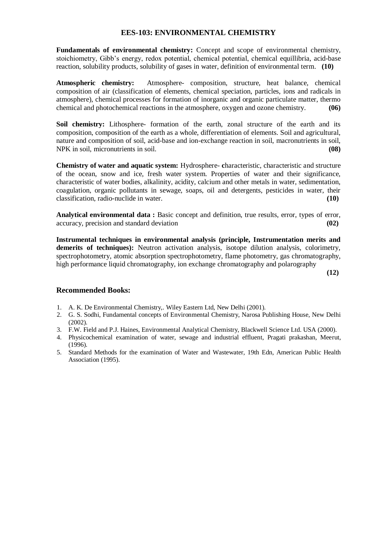### **EES-103: ENVIRONMENTAL CHEMISTRY**

**Fundamentals of environmental chemistry:** Concept and scope of environmental chemistry, stoichiometry, Gibb's energy, redox potential, chemical potential, chemical equillibria, acid-base reaction, solubility products, solubility of gases in water, definition of environmental term. **(10)** 

**Atmospheric chemistry:** Atmosphere- composition, structure, heat balance, chemical composition of air (classification of elements, chemical speciation, particles, ions and radicals in atmosphere), chemical processes for formation of inorganic and organic particulate matter, thermo chemical and photochemical reactions in the atmosphere, oxygen and ozone chemistry. **(06)**

**Soil chemistry:** Lithosphere- formation of the earth, zonal structure of the earth and its composition, composition of the earth as a whole, differentiation of elements. Soil and agricultural, nature and composition of soil, acid-base and ion-exchange reaction in soil, macronutrients in soil, NPK in soil, micronutrients in soil. **(08)**

**Chemistry of water and aquatic system:** Hydrosphere- **c**haracteristic, characteristic and structure of the ocean, snow and ice, fresh water system. Properties of water and their significance, characteristic of water bodies, alkalinity, acidity, calcium and other metals in water, sedimentation, coagulation, organic pollutants in sewage, soaps, oil and detergents, pesticides in water, their classification, radio-nuclide in water. **(10)**

**Analytical environmental data :** Basic concept and definition, true results, error, types of error, accuracy, precision and standard deviation **(02)**

**Instrumental techniques in environmental analysis (principle, Instrumentation merits and**  demerits of techniques): Neutron activation analysis, isotope dilution analysis, colorimetry, spectrophotometry, atomic absorption spectrophotometry, flame photometry, gas chromatography, high performance liquid chromatography, ion exchange chromatography and polarography

**(12)**

- 1. A. K. De Environmental Chemistry,. Wiley Eastern Ltd, New Delhi (2001).
- 2. G. S. Sodhi, Fundamental concepts of Environmental Chemistry, Narosa Publishing House, New Delhi (2002).
- 3. F.W. Field and P.J. Haines, Environmental Analytical Chemistry, Blackwell Science Ltd. USA (2000).
- 4. Physicochemical examination of water, sewage and industrial effluent, Pragati prakashan, Meerut, (1996).
- 5. Standard Methods for the examination of Water and Wastewater, 19th Edn, American Public Health Association (1995).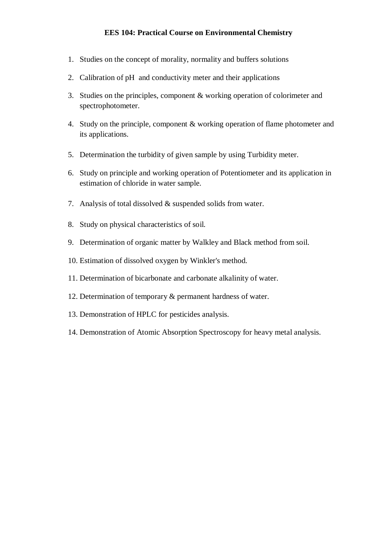## **EES 104: Practical Course on Environmental Chemistry**

- 1. Studies on the concept of morality, normality and buffers solutions
- 2. Calibration of pH and conductivity meter and their applications
- 3. Studies on the principles, component & working operation of colorimeter and spectrophotometer.
- 4. Study on the principle, component & working operation of flame photometer and its applications.
- 5. Determination the turbidity of given sample by using Turbidity meter.
- 6. Study on principle and working operation of Potentiometer and its application in estimation of chloride in water sample.
- 7. Analysis of total dissolved & suspended solids from water.
- 8. Study on physical characteristics of soil.
- 9. Determination of organic matter by Walkley and Black method from soil.
- 10. Estimation of dissolved oxygen by Winkler's method.
- 11. Determination of bicarbonate and carbonate alkalinity of water.
- 12. Determination of temporary & permanent hardness of water.
- 13. Demonstration of HPLC for pesticides analysis.
- 14. Demonstration of Atomic Absorption Spectroscopy for heavy metal analysis.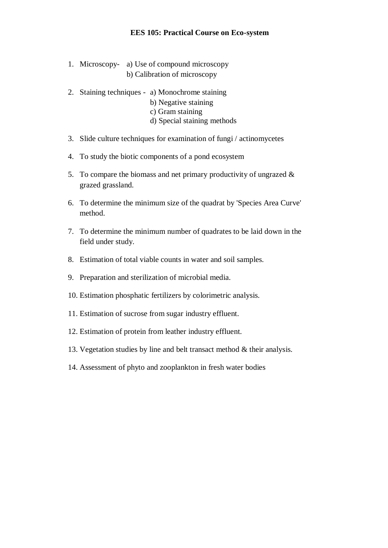- 1. Microscopy- a) Use of compound microscopy b) Calibration of microscopy
- 2. Staining techniques a) Monochrome staining
	- b) Negative staining
	- c) Gram staining
	- d) Special staining methods
- 3. Slide culture techniques for examination of fungi / actinomycetes
- 4. To study the biotic components of a pond ecosystem
- 5. To compare the biomass and net primary productivity of ungrazed  $\&$ grazed grassland.
- 6. To determine the minimum size of the quadrat by 'Species Area Curve' method.
- 7. To determine the minimum number of quadrates to be laid down in the field under study.
- 8. Estimation of total viable counts in water and soil samples.
- 9. Preparation and sterilization of microbial media.
- 10. Estimation phosphatic fertilizers by colorimetric analysis.
- 11. Estimation of sucrose from sugar industry effluent.
- 12. Estimation of protein from leather industry effluent.
- 13. Vegetation studies by line and belt transact method & their analysis.
- 14. Assessment of phyto and zooplankton in fresh water bodies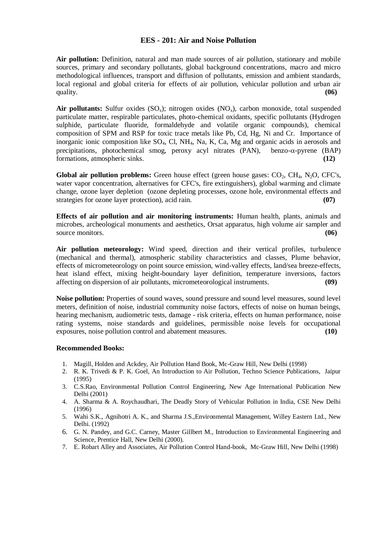#### **EES - 201: Air and Noise Pollution**

**Air pollution:** Definition, natural and man made sources of air pollution, stationary and mobile sources, primary and secondary pollutants, global background concentrations, macro and micro methodological influences, transport and diffusion of pollutants, emission and ambient standards, local regional and global criteria for effects of air pollution, vehicular pollution and urban air quality. **(06)**

**Air pollutants:** Sulfur oxides  $(SO_x)$ ; nitrogen oxides  $(NO_x)$ , carbon monoxide, total suspended particulate matter, respirable particulates, photo-chemical oxidants, specific pollutants (Hydrogen sulphide, particulate fluoride, formaldehyde and volatile organic compounds), chemical composition of SPM and RSP for toxic trace metals like Pb, Cd, Hg, Ni and Cr. Importance of inorganic ionic composition like SO<sub>4</sub>, Cl, NH<sub>4</sub>, Na, K, Ca, Mg and organic acids in aerosols and precipitations, photochemical smog, peroxy acyl nitrates  $(PAN)$ , benzo- $\alpha$ -pyrene  $(BAP)$ formations, atmospheric sinks. **(12)**

**Global air pollution problems:** Green house effect (green house gases: CO<sub>2</sub>, CH<sub>4</sub>, N<sub>2</sub>O, CFC's, water vapor concentration, alternatives for CFC's, fire extinguishers), global warming and climate change, ozone layer depletion (ozone depleting processes, ozone hole, environmental effects and strategies for ozone layer protection), acid rain. **(07)**

**Effects of air pollution and air monitoring instruments:** Human health, plants, animals and microbes, archeological monuments and aesthetics, Orsat apparatus, high volume air sampler and source monitors. **(06)** source monitors.

**Air pollution meteorology:** Wind speed, direction and their vertical profiles, turbulence (mechanical and thermal), atmospheric stability characteristics and classes, Plume behavior, effects of micrometeorology on point source emission, wind-valley effects, land/sea breeze-effects, heat island effect, mixing height-boundary layer definition, temperature inversions, factors affecting on dispersion of air pollutants, micrometeorological instruments. **(09)**

**Noise pollution:** Properties of sound waves, sound pressure and sound level measures, sound level meters, definition of noise, industrial community noise factors, effects of noise on human beings, hearing mechanism, audiometric tests, damage - risk criteria, effects on human performance, noise rating systems, noise standards and guidelines, permissible noise levels for occupational exposures, noise pollution control and abatement measures. **(10)**

- 1. Magill, Holden and Ackdey, Air Pollution Hand Book, Mc-Graw Hill, New Delhi (1998)
- 2. R. K. Trivedi & P. K. Goel, An Introduction to Air Pollution, Techno Science Publications, Jaipur (1995)
- 3. C.S.Rao, Environmental Pollution Control Engineering, New Age International Publication New Delhi (2001)
- 4. A. Sharma & A. Roychaudhari, The Deadly Story of Vehicular Pollution in India, CSE New Delhi (1996)
- 5. Wahi S.K., Agnihotri A. K., and Sharma J.S.,Environmental Management, Willey Eastern Ltd., New Delhi. (1992)
- 6. G. N. Pandey, and G.C. Carney, Master Gillbert M., Introduction to Environmental Engineering and Science, Prentice Hall, New Delhi (2000).
- 7. E. Robart Alley and Associates, Air Pollution Control Hand-book, Mc-Graw Hill, New Delhi (1998)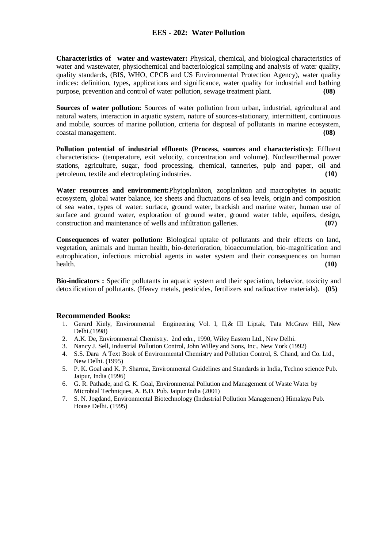## **EES - 202: Water Pollution**

**Characteristics of water and wastewater:** Physical, chemical, and biological characteristics of water and wastewater, physiochemical and bacteriological sampling and analysis of water quality, quality standards, (BIS, WHO, CPCB and US Environmental Protection Agency), water quality indices: definition, types, applications and significance, water quality for industrial and bathing purpose, prevention and control of water pollution, sewage treatment plant. **(08)**

**Sources of water pollution:** Sources of water pollution from urban, industrial, agricultural and natural waters, interaction in aquatic system, nature of sources-stationary, intermittent, continuous and mobile, sources of marine pollution, criteria for disposal of pollutants in marine ecosystem, coastal management. **(08)**

**Pollution potential of industrial effluents (Process, sources and characteristics):** Effluent characteristics- (temperature, exit velocity, concentration and volume). Nuclear/thermal power stations, agriculture, sugar, food processing, chemical, tanneries, pulp and paper, oil and petroleum, textile and electroplating industries. **(10)**

**Water resources and environment:**Phytoplankton, zooplankton and macrophytes in aquatic ecosystem, global water balance, ice sheets and fluctuations of sea levels, origin and composition of sea water, types of water: surface, ground water, brackish and marine water, human use of surface and ground water, exploration of ground water, ground water table, aquifers, design, construction and maintenance of wells and infiltration galleries. **(07)** 

**Consequences of water pollution:** Biological uptake of pollutants and their effects on land, vegetation, animals and human health, bio-deterioration, bioaccumulation, bio-magnification and eutrophication, infectious microbial agents in water system and their consequences on human health. **(10)**

**Bio-indicators :** Specific pollutants in aquatic system and their speciation, behavior, toxicity and detoxification of pollutants. (Heavy metals, pesticides, fertilizers and radioactive materials). **(05)**

- 1. Gerard Kiely, Environmental Engineering Vol. I, II,& III Liptak, Tata McGraw Hill, New Delhi.(1998)
- 2. A.K. De, Environmental Chemistry. 2nd edn., 1990, Wiley Eastern Ltd., New Delhi.
- 3. Nancy J. Sell, Industrial Pollution Control, John Willey and Sons, Inc., New York (1992)
- 4. S.S. Dara A Text Book of Environmental Chemistry and Pollution Control, S. Chand, and Co. Ltd., New Delhi. (1995)
- 5. P. K. Goal and K. P. Sharma, Environmental Guidelines and Standards in India, Techno science Pub. Jaipur, India (1996)
- 6. G. R. Pathade, and G. K. Goal, Environmental Pollution and Management of Waste Water by Microbial Techniques, A. B.D. Pub. Jaipur India (2001)
- 7. S. N. Jogdand, Environmental Biotechnology (Industrial Pollution Management) Himalaya Pub. House Delhi. (1995)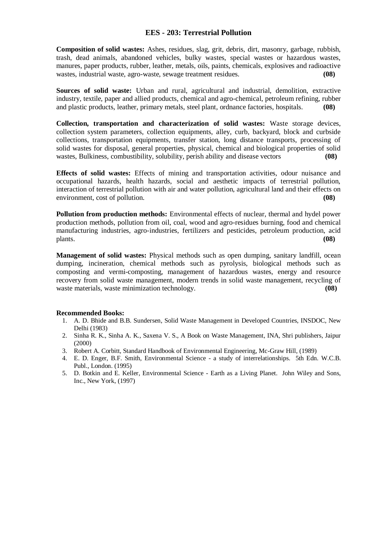### **EES - 203: Terrestrial Pollution**

**Composition of solid wastes:** Ashes, residues, slag, grit, debris, dirt, masonry, garbage, rubbish, trash, dead animals, abandoned vehicles, bulky wastes, special wastes or hazardous wastes, manures, paper products, rubber, leather, metals, oils, paints, chemicals, explosives and radioactive wastes, industrial waste, agro-waste, sewage treatment residues. **(08)**

**Sources of solid waste:** Urban and rural, agricultural and industrial, demolition, extractive industry, textile, paper and allied products, chemical and agro-chemical, petroleum refining, rubber and plastic products, leather, primary metals, steel plant, ordnance factories, hospitals. **(08)** 

**Collection, transportation and characterization of solid wastes:** Waste storage devices, collection system parameters, collection equipments, alley, curb, backyard, block and curbside collections, transportation equipments, transfer station, long distance transports, processing of solid wastes for disposal, general properties, physical, chemical and biological properties of solid wastes, Bulkiness, combustibility, solubility, perish ability and disease vectors **(08)**

**Effects of solid wastes:** Effects of mining and transportation activities, odour nuisance and occupational hazards, health hazards, social and aesthetic impacts of terrestrial pollution, interaction of terrestrial pollution with air and water pollution, agricultural land and their effects on environment, cost of pollution. **(08)**

**Pollution from production methods:** Environmental effects of nuclear, thermal and hydel power production methods, pollution from oil, coal, wood and agro-residues burning, food and chemical manufacturing industries, agro-industries, fertilizers and pesticides, petroleum production, acid plants. **(08)**

**Management of solid wastes:** Physical methods such as open dumping, sanitary landfill, ocean dumping, incineration, chemical methods such as pyrolysis, biological methods such as composting and vermi-composting, management of hazardous wastes, energy and resource recovery from solid waste management, modern trends in solid waste management, recycling of waste materials, waste minimization technology. **(08)** (08)

- 1. A. D. Bhide and B.B. Sundersen, Solid Waste Management in Developed Countries, INSDOC, New Delhi (1983)
- 2. Sinha R. K., Sinha A. K., Saxena V. S., A Book on Waste Management, INA, Shri publishers, Jaipur (2000)
- 3. Robert A. Corbitt, Standard Handbook of Environmental Engineering, Mc-Graw Hill, (1989)
- 4. E. D. Enger, B.F. Smith, Environmental Science a study of interrelationships. 5th Edn. W.C.B. Publ., London. (1995)
- 5. D. Botkin and E. Keller, Environmental Science Earth as a Living Planet. John Wiley and Sons, Inc., New York, (1997)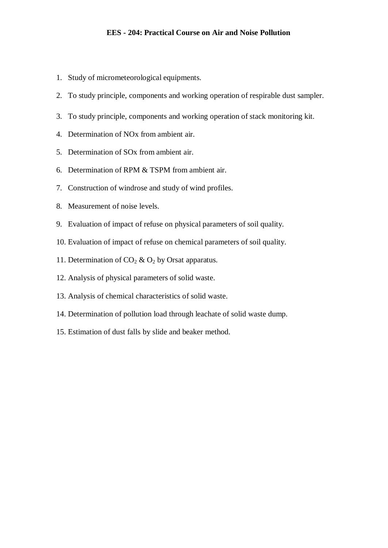- 1. Study of micrometeorological equipments.
- 2. To study principle, components and working operation of respirable dust sampler.
- 3. To study principle, components and working operation of stack monitoring kit.
- 4. Determination of NOx from ambient air.
- 5. Determination of SOx from ambient air.
- 6. Determination of RPM & TSPM from ambient air.
- 7. Construction of windrose and study of wind profiles.
- 8. Measurement of noise levels.
- 9. Evaluation of impact of refuse on physical parameters of soil quality.
- 10. Evaluation of impact of refuse on chemical parameters of soil quality.
- 11. Determination of  $CO_2 \& O_2$  by Orsat apparatus.
- 12. Analysis of physical parameters of solid waste.
- 13. Analysis of chemical characteristics of solid waste.
- 14. Determination of pollution load through leachate of solid waste dump.
- 15. Estimation of dust falls by slide and beaker method.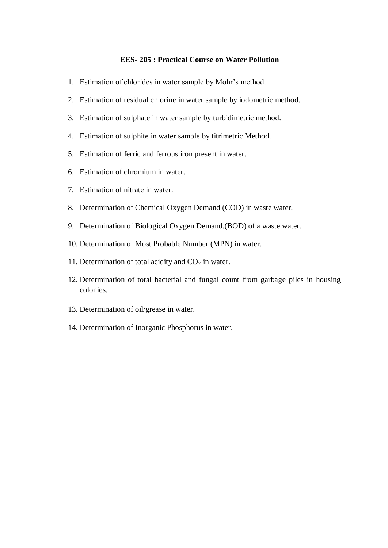#### **EES- 205 : Practical Course on Water Pollution**

- 1. Estimation of chlorides in water sample by Mohr's method.
- 2. Estimation of residual chlorine in water sample by iodometric method.
- 3. Estimation of sulphate in water sample by turbidimetric method.
- 4. Estimation of sulphite in water sample by titrimetric Method.
- 5. Estimation of ferric and ferrous iron present in water.
- 6. Estimation of chromium in water.
- 7. Estimation of nitrate in water.
- 8. Determination of Chemical Oxygen Demand (COD) in waste water.
- 9. Determination of Biological Oxygen Demand.(BOD) of a waste water.
- 10. Determination of Most Probable Number (MPN) in water.
- 11. Determination of total acidity and  $CO<sub>2</sub>$  in water.
- 12. Determination of total bacterial and fungal count from garbage piles in housing colonies.
- 13. Determination of oil/grease in water.
- 14. Determination of Inorganic Phosphorus in water.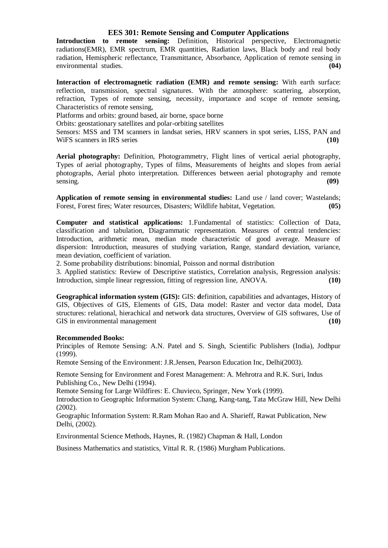#### **EES 301: Remote Sensing and Computer Applications**

**Introduction to remote sensing:** Definition, Historical perspective, Electromagnetic radiations(EMR), EMR spectrum, EMR quantities, Radiation laws, Black body and real body radiation, Hemispheric reflectance, Transmittance, Absorbance, Application of remote sensing in environmental studies. **(04)**

**Interaction of electromagnetic radiation (EMR) and remote sensing:** With earth surface: reflection, transmission, spectral signatures. With the atmosphere: scattering, absorption, refraction, Types of remote sensing, necessity, importance and scope of remote sensing, Characteristics of remote sensing,

Platforms and orbits: ground based, air borne, space borne

Orbits: geostationary satellites and polar-orbiting satellites

Sensors: MSS and TM scanners in landsat series, HRV scanners in spot series, LISS, PAN and WIFS scanners in IRS series (10)

Aerial photography: Definition, Photogrammetry, Flight lines of vertical aerial photography, Types of aerial photography, Types of films, Measurements of heights and slopes from aerial photographs, Aerial photo interpretation. Differences between aerial photography and remote sensing. **(09)**

**Application of remote sensing in environmental studies:** Land use / land cover; Wastelands; Forest, Forest fires; Water resources, Disasters; Wildlife habitat, Vegetation. **(05)**

**Computer and statistical applications:** 1.Fundamental of statistics: Collection of Data, classification and tabulation, Diagrammatic representation. Measures of central tendencies: Introduction, arithmetic mean, median mode characteristic of good average. Measure of dispersion: Introduction, measures of studying variation, Range, standard deviation, variance, mean deviation, coefficient of variation.

2. Some probability distributions: binomial, Poisson and normal distribution

3. Applied statistics: Review of Descriptive statistics, Correlation analysis, Regression analysis: Introduction, simple linear regression, fitting of regression line, ANOVA. **(10)**

**Geographical information system (GIS):** GIS: **d**efinition, capabilities and advantages, History of GIS, Objectives of GIS, Elements of GIS, Data model: Raster and vector data model, Data structures: relational, hierachical and network data structures, Overview of GIS softwares, Use of GIS in environmental management **(10)** (10)

#### **Recommended Books:**

Principles of Remote Sensing: A.N. Patel and S. Singh, Scientific Publishers (India), Jodhpur (1999).

Remote Sensing of the Environment: J.R.Jensen, Pearson Education Inc, Delhi(2003).

Remote Sensing for Environment and Forest Management: A. Mehrotra and R.K. Suri, Indus Publishing Co., New Delhi (1994).

Remote Sensing for Large Wildfires: E. Chuvieco, Springer, New York (1999).

Introduction to Geographic Information System: Chang, Kang-tang, Tata McGraw Hill, New Delhi (2002).

Geographic Information System: R.Ram Mohan Rao and A. Sharieff, Rawat Publication, New Delhi, (2002).

Environmental Science Methods, Haynes, R. (1982) Chapman & Hall, London

Business Mathematics and statistics, Vittal R. R. (1986) Murgham Publications.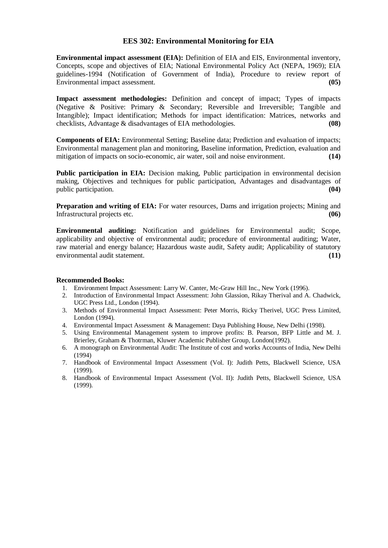### **EES 302: Environmental Monitoring for EIA**

**Environmental impact assessment (EIA):** Definition of EIA and EIS, Environmental inventory, Concepts, scope and objectives of EIA; National Environmental Policy Act (NEPA, 1969); EIA guidelines-1994 (Notification of Government of India), Procedure to review report of Environmental impact assessment. **(05)**

**Impact assessment methodologies:** Definition and concept of impact; Types of impacts (Negative & Positive: Primary & Secondary; Reversible and Irreversible; Tangible and Intangible); Impact identification; Methods for impact identification: Matrices, networks and checklists, Advantage & disadvantages of EIA methodologies. **(08)**

**Components of EIA:** Environmental Setting; Baseline data; Prediction and evaluation of impacts; Environmental management plan and monitoring, Baseline information, Prediction, evaluation and mitigation of impacts on socio-economic, air water, soil and noise environment. **(14)**

**Public participation in EIA:** Decision making, Public participation in environmental decision making, Objectives and techniques for public participation, Advantages and disadvantages of public participation. **(04) (04) (05) (04) (05) (05) (06) (06) (06) (06) (06) (06) (06) (06) (06) (06) (06) (06) (06) (06) (06) (06) (06) (16) (17) (17) (17) (17) (17** 

**Preparation and writing of EIA:** For water resources, Dams and irrigation projects; Mining and Infrastructural projects etc. **(06)**

**Environmental auditing:** Notification and guidelines for Environmental audit; Scope, applicability and objective of environmental audit; procedure of environmental auditing; Water, raw material and energy balance; Hazardous waste audit, Safety audit; Applicability of statutory environmental audit statement. **(11)**

- 1. Environment Impact Assessment: Larry W. Canter, Mc-Graw Hill Inc., New York (1996).
- 2. Introduction of Environmental Impact Assessment: John Glassion, Rikay Therival and A. Chadwick, UGC Press Ltd., London (1994).
- 3. Methods of Environmental Impact Assessment: Peter Morris, Ricky Therivel, UGC Press Limited, London (1994).
- 4. Environmental Impact Assessment & Management: Daya Publishing House, New Delhi (1998).
- 5. Using Environmental Management system to improve profits: B. Pearson, BFP Little and M. J. Brierley, Graham & Thotrman, Kluwer Academic Publisher Group, London(1992).
- 6. A monograph on Environmental Audit: The Institute of cost and works Accounts of India, New Delhi (1994)
- 7. Handbook of Environmental Impact Assessment (Vol. I): Judith Petts, Blackwell Science, USA (1999).
- 8. Handbook of Environmental Impact Assessment (Vol. II): Judith Petts, Blackwell Science, USA (1999).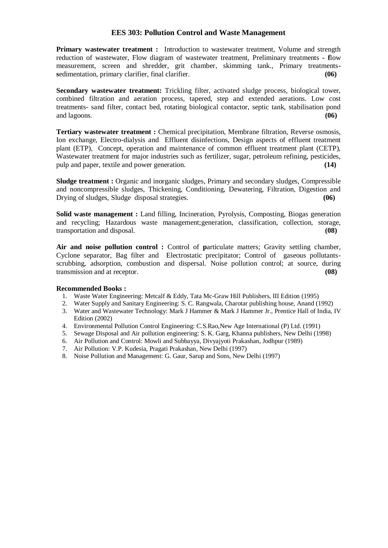#### **EES 303: Pollution Control and Waste Management**

**Primary wastewater treatment :** Introduction to wastewater treatment, Volume and strength reduction of wastewater, Flow diagram of wastewater treatment, Preliminary treatments **- f**low measurement, screen and shredder, grit chamber, skimming tank., Primary treatments**s**edimentation, primary clarifier, final clarifier. **(06)**

**Secondary wastewater treatment:** Trickling filter, activated sludge process, biological tower, combined filtration and aeration process, tapered, step and extended aerations. Low cost treatments- sand filter, contact bed, rotating biological contactor, septic tank, stabilisation pond and lagoons. **(06)**

Tertiary wastewater treatment : Chemical precipitation, Membrane filtration, Reverse osmosis, Ion exchange, Electro-dialysis and Effluent disinfections, Design aspects of effluent treatment plant (ETP), Concept, operation and maintenance of common effluent treatment plant (CETP), Wastewater treatment for major industries such as fertilizer, sugar, petroleum refining, pesticides, pulp and paper, textile and power generation. **(14)**

**Sludge treatment :** Organic and inorganic sludges, Primary and secondary sludges, Compressible and noncompressible sludges, Thickening, Conditioning, Dewatering, Filtration, Digestion and Drying of sludges, Sludge disposal strategies.

**Solid waste management :** Land filling, Incineration, Pyrolysis, Composting, Biogas generation and recycling; Hazardous waste management;generation, classification, collection, storage, transportation and disposal. **(08)**

Air and noise pollution control : Control of particulate matters; Gravity settling chamber, Cyclone separator, Bag filter and Electrostatic precipitator; Control of gaseous pollutantsscrubbing, adsorption, combustion and dispersal. Noise pollution control; at source, during transmission and at receptor. **(08)**

- 1. Waste Water Engineering: Metcalf & Eddy, Tata Mc-Graw Hill Publishers, III Edition (1995)
- 2. Water Supply and Sanitary Engineering: S. C. Rangwala, Charotar publishing house, Anand (1992)
- 3. Water and Wastewater Technology: Mark J Hammer & Mark J Hammer Jr., Prentice Hall of India, IV Edition (2002)
- 4. Environmental Pollution Control Engineering: C.S.Rao,New Age International (P) Ltd. (1991)
- 5. Sewage Disposal and Air pollution engineering: S. K. Garg, Khanna publishers, New Delhi (1998)
- 6. Air Pollution and Control: Mowli and Subbayya, Divyajyoti Prakashan, Jodhpur (1989)
- 7. Air Pollution: V.P. Kudesia, Pragati Prakashan, New Delhi (1997)
- 8. Noise Pollution and Management: G. Gaur, Sarup and Sons, New Delhi (1997)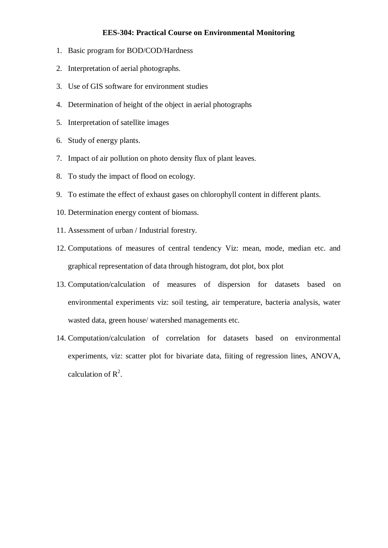## **EES-304: Practical Course on Environmental Monitoring**

- 1. Basic program for BOD/COD/Hardness
- 2. Interpretation of aerial photographs.
- 3. Use of GIS software for environment studies
- 4. Determination of height of the object in aerial photographs
- 5. Interpretation of satellite images
- 6. Study of energy plants.
- 7. Impact of air pollution on photo density flux of plant leaves.
- 8. To study the impact of flood on ecology.
- 9. To estimate the effect of exhaust gases on chlorophyll content in different plants.
- 10. Determination energy content of biomass.
- 11. Assessment of urban / Industrial forestry.
- 12. Computations of measures of central tendency Viz: mean, mode, median etc. and graphical representation of data through histogram, dot plot, box plot
- 13. Computation/calculation of measures of dispersion for datasets based on environmental experiments viz: soil testing, air temperature, bacteria analysis, water wasted data, green house/ watershed managements etc.
- 14. Computation/calculation of correlation for datasets based on environmental experiments, viz: scatter plot for bivariate data, fiiting of regression lines, ANOVA, calculation of  $R^2$ .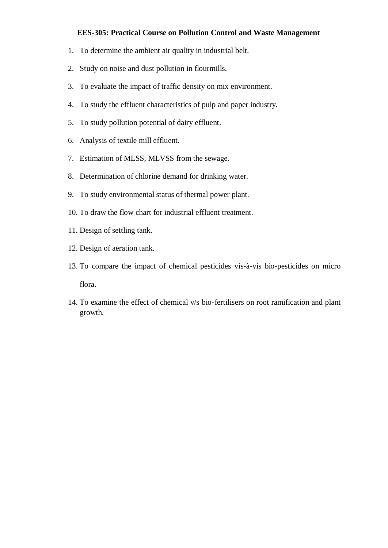## **EES-305: Practical Course on Pollution Control and Waste Management**

- 1. To determine the ambient air quality in industrial belt.
- 2. Study on noise and dust pollution in flourmills.
- 3. To evaluate the impact of traffic density on mix environment.
- 4. To study the effluent characteristics of pulp and paper industry.
- 5. To study pollution potential of dairy effluent.
- 6. Analysis of textile mill effluent.
- 7. Estimation of MLSS, MLVSS from the sewage.
- 8. Determination of chlorine demand for drinking water.
- 9. To study environmental status of thermal power plant.
- 10. To draw the flow chart for industrial effluent treatment.
- 11. Design of settling tank.
- 12. Design of aeration tank.
- 13. To compare the impact of chemical pesticides vis-à-vis bio-pesticides on micro flora.
- 14. To examine the effect of chemical v/s bio-fertilisers on root ramification and plant growth.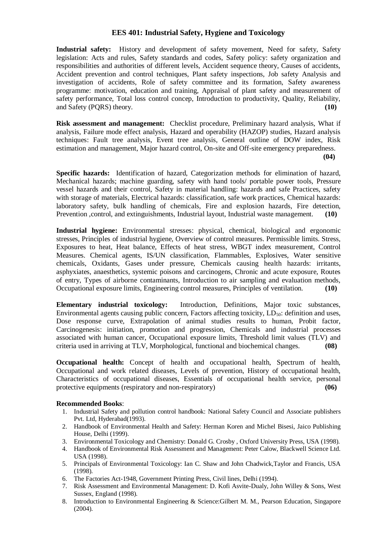## **EES 401: Industrial Safety, Hygiene and Toxicology**

**Industrial safety:** History and development of safety movement, Need for safety, Safety legislation: Acts and rules, Safety standards and codes, Safety policy: safety organization and responsibilities and authorities of different levels, Accident sequence theory, Causes of accidents, Accident prevention and control techniques, Plant safety inspections, Job safety Analysis and investigation of accidents, Role of safety committee and its formation, Safety awareness programme: motivation, education and training, Appraisal of plant safety and measurement of safety performance, Total loss control concep, Introduction to productivity, Quality, Reliability, and Safety (PQRS) theory. **(10)**

**Risk assessment and management:** Checklist procedure, Preliminary hazard analysis, What if analysis, Failure mode effect analysis, Hazard and operability (HAZOP) studies, Hazard analysis techniques: Fault tree analysis, Event tree analysis, General outline of DOW index, Risk estimation and management, Major hazard control, On-site and Off-site emergency preparedness.  **(04)**

**Specific hazards:** Identification of hazard, Categorization methods for elimination of hazard, Mechanical hazards; machine guarding, safety with hand tools/ portable power tools, Pressure vessel hazards and their control, Safety in material handling: hazards and safe Practices, safety with storage of materials, Electrical hazards: classification, safe work practices, Chemical hazards: laboratory safety, bulk handling of chemicals, Fire and explosion hazards, Fire detection, Prevention ,control, and extinguishments, Industrial layout, Industrial waste management. **(10)**

**Industrial hygiene:** Environmental stresses: physical, chemical, biological and ergonomic stresses, Principles of industrial hygiene, Overview of control measures. Permissible limits. Stress, Exposures to heat, Heat balance, Effects of heat stress, WBGT index measurement, Control Measures. Chemical agents, IS/UN classification, Flammables, Explosives, Water sensitive chemicals, Oxidants, Gases under pressure, Chemicals causing health hazards: irritants, asphyxiates, anaesthetics, systemic poisons and carcinogens, Chronic and acute exposure, Routes of entry, Types of airborne contaminants, Introduction to air sampling and evaluation methods, Occupational exposure limits, Engineering control measures, Principles of ventilation. **(10)**

**Elementary industrial toxicology:** Introduction, Definitions, Major toxic substances, Environmental agents causing public concern, Factors affecting toxicity,  $LD<sub>50</sub>$ : definition and uses, Dose response curve, Extrapolation of animal studies results to human, Probit factor, Carcinogenesis: initiation, promotion and progression, Chemicals and industrial processes associated with human cancer, Occupational exposure limits, Threshold limit values (TLV) and criteria used in arriving at TLV, Morphological, functional and biochemical changes. **(08)** 

**Occupational health:** Concept of health and occupational health, Spectrum of health, Occupational and work related diseases, Levels of prevention, History of occupational health, Characteristics of occupational diseases, Essentials of occupational health service, personal protective equipments (respiratory and non-respiratory) **(06)**

- 1. Industrial Safety and pollution control handbook: National Safety Council and Associate publishers Pvt. Ltd, Hyderabad(1993).
- 2. Handbook of Environmental Health and Safety: Herman Koren and Michel Bisesi, Jaico Publishing House, Delhi (1999).
- 3. Environmental Toxicology and Chemistry: Donald G. Crosby , Oxford University Press, USA (1998).
- 4. Handbook of Environmental Risk Assessment and Management: Peter Calow, Blackwell Science Ltd. USA (1998).
- 5. Principals of Environmental Toxicology: Ian C. Shaw and John Chadwick,Taylor and Francis, USA (1998).
- 6. The Factories Act-1948, Government Printing Press, Civil lines, Delhi (1994).
- 7. Risk Assessment and Environmental Management: D. Kofi Asvite-Dualy, John Willey & Sons, West Sussex, England (1998).
- 8. Introduction to Environmental Engineering & Science:Gilbert M. M., Pearson Education, Singapore (2004).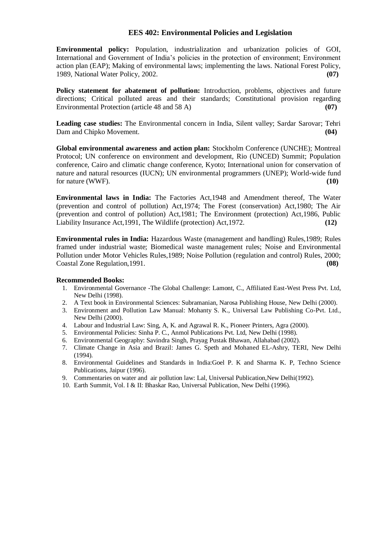#### **EES 402: Environmental Policies and Legislation**

**Environmental policy:** Population, industrialization and urbanization policies of GOI, International and Government of India's policies in the protection of environment; Environment action plan (EAP); Making of environmental laws; implementing the laws. National Forest Policy, 1989, National Water Policy, 2002. **(07)**

**Policy statement for abatement of pollution:** Introduction, problems, objectives and future directions; Critical polluted areas and their standards; Constitutional provision regarding Environmental Protection (article 48 and 58 A) **(07)**

**Leading case studies:** The Environmental concern in India, Silent valley; Sardar Sarovar; Tehri Dam and Chipko Movement. **(04) Contract Contract Contract Contract Contract Contract Contract Contract Contract Contract Contract Contract Contract Contract Contract Contract Contract Contract Contract Contract Contract** 

**Global environmental awareness and action plan:** Stockholm Conference (UNCHE); Montreal Protocol; UN conference on environment and development, Rio (UNCED) Summit; Population conference, Cairo and climatic change conference, Kyoto; International union for conservation of nature and natural resources (IUCN); UN environmental programmers (UNEP); World-wide fund for nature (WWF). **(10)**

**Environmental laws in India:** The Factories Act,1948 and Amendment thereof, The Water (prevention and control of pollution) Act,1974; The Forest (conservation) Act,1980; The Air (prevention and control of pollution) Act,1981; The Environment (protection) Act,1986, Public Liability Insurance Act,1991, The Wildlife (protection) Act,1972. **(12)**

**Environmental rules in India:** Hazardous Waste (management and handling) Rules,1989; Rules framed under industrial waste; Biomedical waste management rules; Noise and Environmental Pollution under Motor Vehicles Rules,1989; Noise Pollution (regulation and control) Rules, 2000; Coastal Zone Regulation,1991. **(08)**

- 1. Environmental Governance -The Global Challenge: Lamont, C., Affiliated East-West Press Pvt. Ltd, New Delhi (1998).
- 2. A Text book in Environmental Sciences: Subramanian, Narosa Publishing House, New Delhi (2000).
- 3. Environment and Pollution Law Manual: Mohanty S. K., Universal Law Publishing Co-Pvt. Ltd., New Delhi (2000).
- 4. Labour and Industrial Law: Sing, A, K. and Agrawal R. K., Pioneer Printers, Agra (2000).
- 5. Environmental Policies: Sinha P. C., Anmol Publications Pvt. Ltd, New Delhi (1998).
- 6. Environmental Geography: Savindra Singh, Prayag Pustak Bhawan, Allahabad (2002).
- 7. Climate Change in Asia and Brazil: James G. Speth and Mohaned EL-Ashry, TERI, New Delhi (1994).
- 8. Environmental Guidelines and Standards in India:Goel P. K and Sharma K. P, Techno Science Publications, Jaipur (1996).
- 9. Commentaries on water and air pollution law: Lal, Universal Publication,New Delhi(1992).
- 10. Earth Summit, Vol. I & II: Bhaskar Rao, Universal Publication, New Delhi (1996).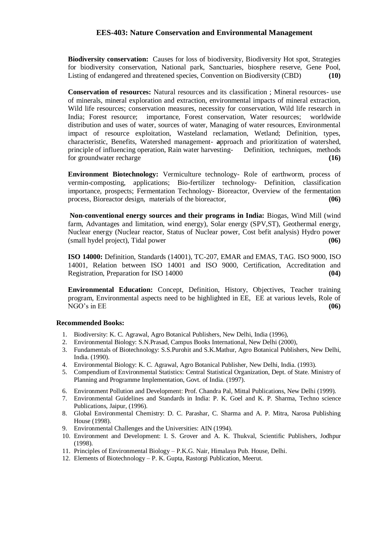#### **EES-403: Nature Conservation and Environmental Management**

**Biodiversity conservation:** Causes for loss of biodiversity, Biodiversity Hot spot, Strategies for biodiversity conservation, National park, Sanctuaries, biosphere reserve, Gene Pool, Listing of endangered and threatened species, Convention on Biodiversity (CBD) **(10)**

**Conservation of resources:** Natural resources and its classification ; Mineral resources- use of minerals, mineral exploration and extraction, environmental impacts of mineral extraction, Wild life resources; conservation measures, necessity for conservation, Wild life research in India; Forest resource; importance, Forest conservation, Water resources; worldwide distribution and uses of water, sources of water, Managing of water resources, Environmental impact of resource exploitation, Wasteland reclamation, Wetland; Definition, types, characteristic, Benefits, Watershed management- **a**pproach and prioritization of watershed, principle of influencing operation, Rain water harvesting- Definition, techniques, methods for groundwater recharge **(16)**

**Environment Biotechnology:** Vermiculture technology- Role of earthworm, process of vermin-composting, applications; Bio-fertilizer technology- Definition, classification importance, prospects; Fermentation Technology- Bioreactor, Overview of the fermentation process, Bioreactor design, materials of the bioreactor, **(06)**

**Non-conventional energy sources and their programs in India:** Biogas, Wind Mill (wind farm, Advantages and limitation, wind energy), Solar energy (SPV,ST), Geothermal energy, Nuclear energy (Nuclear reactor, Status of Nuclear power, Cost befit analysis) Hydro power (small hydel project), Tidal power **(06)**

**ISO 14000:** Definition, Standards (14001), TC-207, EMAR and EMAS, TAG. ISO 9000, ISO 14001, Relation between ISO 14001 and ISO 9000, Certification, Accreditation and Registration, Preparation for ISO 14000 **(04)**

**Environmental Education:** Concept, Definition, History, Objectives, Teacher training program, Environmental aspects need to be highlighted in EE, EE at various levels, Role of NGO's in EE **(06)**

- 1. Biodiversity: K. C. Agrawal, Agro Botanical Publishers, New Delhi, India (1996),
- 2. Environmental Biology: S.N.Prasad, Campus Books International, New Delhi (2000),
- 3. Fundamentals of Biotechnology: S.S.Purohit and S.K.Mathur, Agro Botanical Publishers, New Delhi, India. (1990).
- 4. Environmental Biology: K. C. Agrawal, Agro Botanical Publisher, New Delhi, India. (1993).
- 5. Compendium of Environmental Statistics: Central Statistical Organization, Dept. of State. Ministry of Planning and Programme Implementation, Govt. of India. (1997).
- 6. Environment Pollution and Development: Prof. Chandra Pal, Mittal Publications, New Delhi (1999).
- 7. Environmental Guidelines and Standards in India: P. K. Goel and K. P. Sharma, Techno science Publications, Jaipur, (1996).
- 8. Global Environmental Chemistry: D. C. Parashar, C. Sharma and A. P. Mitra, Narosa Publishing House (1998).
- 9. Environmental Challenges and the Universities: AIN (1994).
- 10. Environment and Development: I. S. Grover and A. K. Thukval, Scientific Publishers, Jodhpur (1998).
- 11. Principles of Environmental Biology P.K.G. Nair, Himalaya Pub. House, Delhi.
- 12. Elements of Biotechnology P. K. Gupta, Rastorgi Publication, Meerut.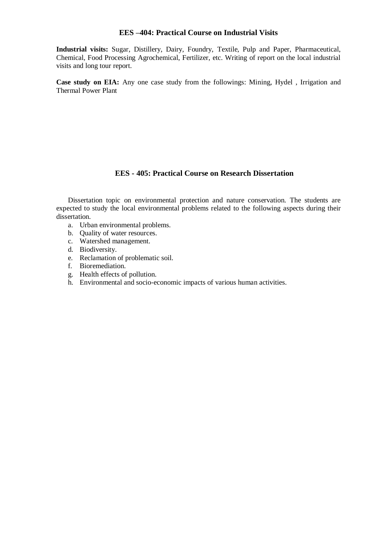## **EES –404: Practical Course on Industrial Visits**

**Industrial visits:** Sugar, Distillery, Dairy, Foundry, Textile, Pulp and Paper, Pharmaceutical, Chemical, Food Processing Agrochemical, Fertilizer, etc. Writing of report on the local industrial visits and long tour report.

**Case study on EIA:** Any one case study from the followings: Mining, Hydel , Irrigation and Thermal Power Plant

### **EES - 405: Practical Course on Research Dissertation**

Dissertation topic on environmental protection and nature conservation. The students are expected to study the local environmental problems related to the following aspects during their dissertation.

- a. Urban environmental problems.
- b. Quality of water resources.
- c. Watershed management.
- d. Biodiversity.
- e. Reclamation of problematic soil.
- f. Bioremediation.
- g. Health effects of pollution.
- h. Environmental and socio-economic impacts of various human activities.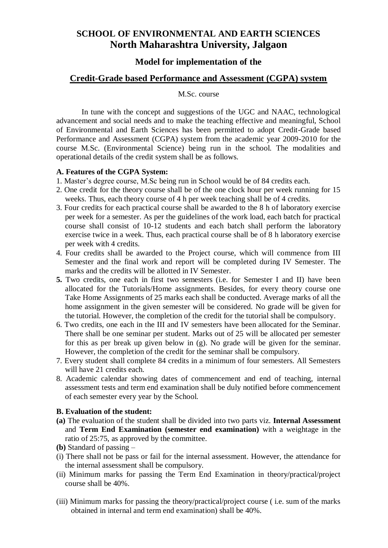# **SCHOOL OF ENVIRONMENTAL AND EARTH SCIENCES North Maharashtra University, Jalgaon**

## **Model for implementation of the**

## **Credit-Grade based Performance and Assessment (CGPA) system**

## M.Sc. course

In tune with the concept and suggestions of the UGC and NAAC, technological advancement and social needs and to make the teaching effective and meaningful, School of Environmental and Earth Sciences has been permitted to adopt Credit-Grade based Performance and Assessment (CGPA) system from the academic year 2009-2010 for the course M.Sc. (Environmental Science) being run in the school. The modalities and operational details of the credit system shall be as follows.

## **A. Features of the CGPA System:**

- 1. Master's degree course, M.Sc being run in School would be of 84 credits each.
- 2. One credit for the theory course shall be of the one clock hour per week running for 15 weeks. Thus, each theory course of 4 h per week teaching shall be of 4 credits.
- 3. Four credits for each practical course shall be awarded to the 8 h of laboratory exercise per week for a semester. As per the guidelines of the work load, each batch for practical course shall consist of 10-12 students and each batch shall perform the laboratory exercise twice in a week. Thus, each practical course shall be of 8 h laboratory exercise per week with 4 credits.
- 4. Four credits shall be awarded to the Project course, which will commence from III Semester and the final work and report will be completed during IV Semester. The marks and the credits will be allotted in IV Semester.
- **5.** Two credits, one each in first two semesters (i.e. for Semester I and II) have been allocated for the Tutorials/Home assignments. Besides, for every theory course one Take Home Assignments of 25 marks each shall be conducted. Average marks of all the home assignment in the given semester will be considered. No grade will be given for the tutorial. However, the completion of the credit for the tutorial shall be compulsory.
- 6. Two credits, one each in the III and IV semesters have been allocated for the Seminar. There shall be one seminar per student. Marks out of 25 will be allocated per semester for this as per break up given below in (g). No grade will be given for the seminar. However, the completion of the credit for the seminar shall be compulsory.
- 7. Every student shall complete 84 credits in a minimum of four semesters. All Semesters will have 21 credits each.
- 8. Academic calendar showing dates of commencement and end of teaching, internal assessment tests and term end examination shall be duly notified before commencement of each semester every year by the School.

## **B. Evaluation of the student:**

- **(a)** The evaluation of the student shall be divided into two parts viz. **Internal Assessment**  and **Term End Examination (semester end examination)** with a weightage in the ratio of 25:75, as approved by the committee.
- **(b)** Standard of passing –
- (i) There shall not be pass or fail for the internal assessment. However, the attendance for the internal assessment shall be compulsory.
- (ii) Minimum marks for passing the Term End Examination in theory/practical/project course shall be 40%.
- (iii) Minimum marks for passing the theory/practical/project course ( i.e. sum of the marks obtained in internal and term end examination) shall be 40%.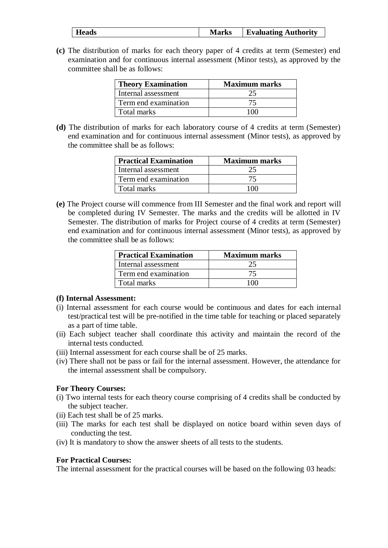| <b>Heads</b> | <b>Marks</b> | <b>Evaluating Authority</b> |
|--------------|--------------|-----------------------------|
|              |              |                             |

**(c)** The distribution of marks for each theory paper of 4 credits at term (Semester) end examination and for continuous internal assessment (Minor tests), as approved by the committee shall be as follows:

| <b>Theory Examination</b> | <b>Maximum marks</b> |
|---------------------------|----------------------|
| Internal assessment       | 25                   |
| Term end examination      | 75                   |
| Total marks               | 100                  |

**(d)** The distribution of marks for each laboratory course of 4 credits at term (Semester) end examination and for continuous internal assessment (Minor tests), as approved by the committee shall be as follows:

| <b>Practical Examination</b> | <b>Maximum marks</b> |
|------------------------------|----------------------|
| Internal assessment          |                      |
| Term end examination         |                      |
| l Total marks                | 100                  |

**(e)** The Project course will commence from III Semester and the final work and report will be completed during IV Semester. The marks and the credits will be allotted in IV Semester. The distribution of marks for Project course of 4 credits at term (Semester) end examination and for continuous internal assessment (Minor tests), as approved by the committee shall be as follows:

| <b>Practical Examination</b> | <b>Maximum marks</b> |
|------------------------------|----------------------|
| Internal assessment          |                      |
| Term end examination         |                      |
| Total marks                  | 100 L                |

## **(f) Internal Assessment:**

- (i) Internal assessment for each course would be continuous and dates for each internal test/practical test will be pre-notified in the time table for teaching or placed separately as a part of time table.
- (ii) Each subject teacher shall coordinate this activity and maintain the record of the internal tests conducted.
- (iii) Internal assessment for each course shall be of 25 marks.
- (iv) There shall not be pass or fail for the internal assessment. However, the attendance for the internal assessment shall be compulsory.

## **For Theory Courses:**

- (i) Two internal tests for each theory course comprising of 4 credits shall be conducted by the subject teacher.
- (ii) Each test shall be of 25 marks.
- (iii) The marks for each test shall be displayed on notice board within seven days of conducting the test.
- (iv) It is mandatory to show the answer sheets of all tests to the students.

## **For Practical Courses:**

The internal assessment for the practical courses will be based on the following 03 heads: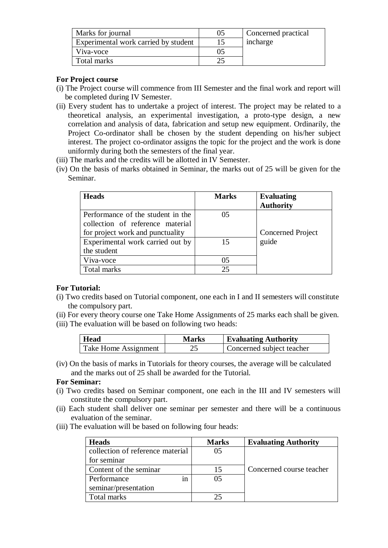| Marks for journal                    | 05 | Concerned practical |
|--------------------------------------|----|---------------------|
| Experimental work carried by student |    | incharge            |
| Viva-voce                            |    |                     |
| Total marks                          |    |                     |

## **For Project course**

- (i) The Project course will commence from III Semester and the final work and report will be completed during IV Semester.
- (ii) Every student has to undertake a project of interest. The project may be related to a theoretical analysis, an experimental investigation, a proto-type design, a new correlation and analysis of data, fabrication and setup new equipment. Ordinarily, the Project Co-ordinator shall be chosen by the student depending on his/her subject interest. The project co-ordinator assigns the topic for the project and the work is done uniformly during both the semesters of the final year.
- (iii) The marks and the credits will be allotted in IV Semester.
- (iv) On the basis of marks obtained in Seminar, the marks out of 25 will be given for the Seminar.

| <b>Heads</b>                                                          | <b>Marks</b> | <b>Evaluating</b><br><b>Authority</b> |
|-----------------------------------------------------------------------|--------------|---------------------------------------|
| Performance of the student in the<br>collection of reference material | 05           |                                       |
| for project work and punctuality                                      |              | Concerned Project                     |
| Experimental work carried out by                                      | 15           | guide                                 |
| the student                                                           |              |                                       |
| Viva-voce                                                             | 05           |                                       |
| Total marks                                                           | 25           |                                       |

## **For Tutorial:**

- (i) Two credits based on Tutorial component, one each in I and II semesters will constitute the compulsory part.
- (ii) For every theory course one Take Home Assignments of 25 marks each shall be given.
- (iii) The evaluation will be based on following two heads:

| <b>Head</b>          | Marks | <b>Evaluating Authority</b> |
|----------------------|-------|-----------------------------|
| Take Home Assignment | 25    | Concerned subject teacher   |

(iv) On the basis of marks in Tutorials for theory courses, the average will be calculated and the marks out of 25 shall be awarded for the Tutorial.

## **For Seminar:**

- (i) Two credits based on Seminar component, one each in the III and IV semesters will constitute the compulsory part.
- (ii) Each student shall deliver one seminar per semester and there will be a continuous evaluation of the seminar.
- (iii) The evaluation will be based on following four heads:

| <b>Heads</b>                     | <b>Marks</b> | <b>Evaluating Authority</b> |
|----------------------------------|--------------|-----------------------------|
| collection of reference material | 05           |                             |
| for seminar                      |              |                             |
| Content of the seminar           | 15           | Concerned course teacher    |
| Performance<br>1n                | 05           |                             |
| seminar/presentation             |              |                             |
| Total marks                      |              |                             |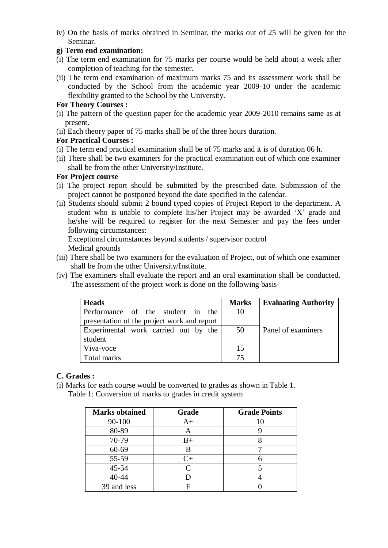iv) On the basis of marks obtained in Seminar, the marks out of 25 will be given for the Seminar.

## **g) Term end examination:**

- (i) The term end examination for 75 marks per course would be held about a week after completion of teaching for the semester.
- (ii) The term end examination of maximum marks 75 and its assessment work shall be conducted by the School from the academic year 2009-10 under the academic flexibility granted to the School by the University.

## **For Theory Courses :**

- (i) The pattern of the question paper for the academic year 2009-2010 remains same as at present.
- (ii) Each theory paper of 75 marks shall be of the three hours duration.

## **For Practical Courses :**

- (i) The term end practical examination shall be of 75 marks and it is of duration 06 h.
- (ii) There shall be two examiners for the practical examination out of which one examiner shall be from the other University/Institute.

## **For Project course**

- (i) The project report should be submitted by the prescribed date. Submission of the project cannot be postponed beyond the date specified in the calendar.
- (ii) Students should submit 2 bound typed copies of Project Report to the department. A student who is unable to complete his/her Project may be awarded 'X' grade and he/she will be required to register for the next Semester and pay the fees under following circumstances:

Exceptional circumstances beyond students / supervisor control Medical grounds

- (iii) There shall be two examiners for the evaluation of Project, out of which one examiner shall be from the other University/Institute.
- (iv) The examiners shall evaluate the report and an oral examination shall be conducted. The assessment of the project work is done on the following basis-

| <b>Heads</b>                                | <b>Marks</b> | <b>Evaluating Authority</b> |
|---------------------------------------------|--------------|-----------------------------|
| Performance of the student in the           | 10           |                             |
| presentation of the project work and report |              |                             |
| Experimental work carried out by the        | 50           | Panel of examiners          |
| student                                     |              |                             |
| Viva-voce                                   | 15           |                             |
| Total marks                                 | 75           |                             |

## **C. Grades :**

(i) Marks for each course would be converted to grades as shown in Table 1. Table 1: Conversion of marks to grades in credit system

| <b>Marks obtained</b> | Grade       | <b>Grade Points</b> |
|-----------------------|-------------|---------------------|
| 90-100                | A+          | 10                  |
| 80-89                 | Α           |                     |
| 70-79                 | $_{\rm B+}$ |                     |
| 60-69                 | В           |                     |
| 55-59                 | $C_{\pm}$   |                     |
| 45-54                 | ⌒           |                     |
| 40-44                 |             |                     |
| 39 and less           |             |                     |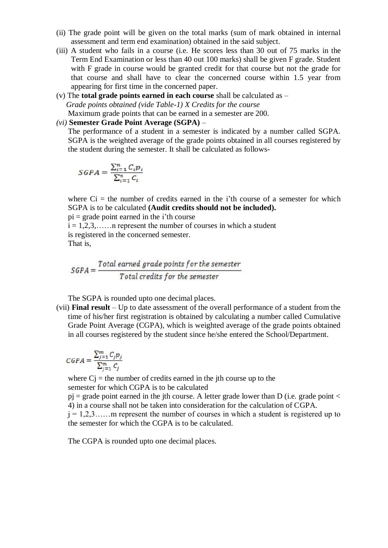- (ii) The grade point will be given on the total marks (sum of mark obtained in internal assessment and term end examination) obtained in the said subject.
- (iii) A student who fails in a course (i.e. He scores less than 30 out of 75 marks in the Term End Examination or less than 40 out 100 marks) shall be given F grade. Student with F grade in course would be granted credit for that course but not the grade for that course and shall have to clear the concerned course within 1.5 year from appearing for first time in the concerned paper.
- (v) The **total grade points earned in each course** shall be calculated as  *Grade points obtained (vide Table-1) X Credits for the course*  Maximum grade points that can be earned in a semester are 200.
- *(vi)* **Semester Grade Point Average (SGPA)** *–*

The performance of a student in a semester is indicated by a number called SGPA. SGPA is the weighted average of the grade points obtained in all courses registered by the student during the semester. It shall be calculated as follows-

$$
SGPA = \frac{\sum_{i=1}^{n} C_i p_i}{\sum_{i=1}^{n} C_i}
$$

where  $Ci =$  the number of credits earned in the i'th course of a semester for which SGPA is to be calculated **(Audit credits should not be included).** 

 $pi =$  grade point earned in the i'th course

 $i = 1, 2, 3, \ldots$  n represent the number of courses in which a student is registered in the concerned semester.

That is,

 $\textit{SGPA} = \frac{\textit{Total earned grade points for the semester}}{\textit{Total credits for the semester}}$ 

The SGPA is rounded upto one decimal places.

(vii) **Final result** – Up to date assessment of the overall performance of a student from the time of his/her first registration is obtained by calculating a number called Cumulative Grade Point Average (CGPA), which is weighted average of the grade points obtained in all courses registered by the student since he/she entered the School/Department.

$$
CGPA = \frac{\sum_{j=1}^{m} C_j p_j}{\sum_{j=1}^{m} C_j}
$$

where  $Ci =$  the number of credits earned in the jth course up to the semester for which CGPA is to be calculated

 $pi =$  grade point earned in the jth course. A letter grade lower than D (i.e. grade point  $\lt$ 4) in a course shall not be taken into consideration for the calculation of CGPA.

 $j = 1, 2, 3, \ldots$  m represent the number of courses in which a student is registered up to the semester for which the CGPA is to be calculated.

The CGPA is rounded upto one decimal places.